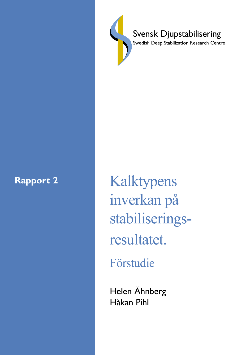

Svensk Djupstabilisering

Swedish Deep Stabilization Research Centre

Rapport 2 Kalktypens inverkan pÂ stabiliseringsresultatet. Förstudie

> Helen Åhnberg Håkan Pihl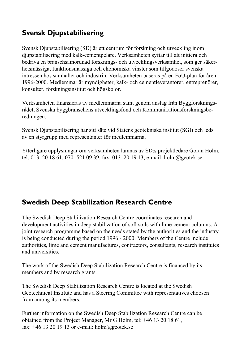### **Svensk Djupstabilisering**

Svensk Djupstabilisering (SD) är ett centrum för forskning och utveckling inom djupstabilisering med kalk-cementpelare. Verksamheten syftar till att initiera och bedriva en branschsamordnad forsknings- och utvecklingsverksamhet, som ger säkerhetsmässiga, funktionsmässiga och ekonomiska vinster som tillgodoser svenska intressen hos samhället och industrin. Verksamheten baseras på en FoU-plan för åren 1996-2000. Medlemmar är myndigheter, kalk- och cementleverantörer, entreprenörer, konsulter, forskningsinstitut och högskolor.

Verksamheten finansieras av medlemmarna samt genom anslag från ByggforskningsrÂdet, Svenska byggbranschens utvecklingsfond och Kommunikationsforskningsberedningen.

Svensk Djupstabilisering har sitt s‰te vid Statens geotekniska institut (SGI) och leds av en styrgrupp med representanter för medlemmarna.

Ytterligare upplysningar om verksamheten lämnas av SD:s projektledare Göran Holm, tel: 013–20 18 61, 070–521 09 39, fax: 013–20 19 13, e-mail: holm@geotek.se

### **Swedish Deep Stabilization Research Centre**

The Swedish Deep Stabilization Research Centre coordinates research and development activities in deep stabilization of soft soils with lime-cement columns. A joint research programme based on the needs stated by the authorities and the industry is being conducted during the period 1996 - 2000. Members of the Centre include authorities, lime and cement manufactures, contractors, consultants, research institutes and universities.

The work of the Swedish Deep Stabilization Research Centre is financed by its members and by research grants.

The Swedish Deep Stabilization Research Centre is located at the Swedish Geotechnical Institute and has a Steering Committee with representatives choosen from among its members.

Further information on the Swedish Deep Stabilization Research Centre can be obtained from the Project Manager, Mr G Holm, tel: +46 13 20 18 61, fax:  $+46$  13 20 19 13 or e-mail: holm@geotek.se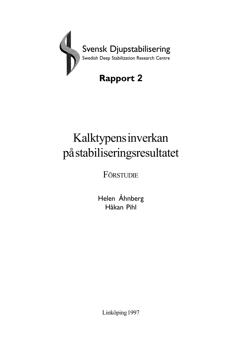

# Kalktypens inverkan på stabiliseringsresultatet

FÖRSTUDIE

Helen Åhnberg Håkan Pihl

Linköping 1997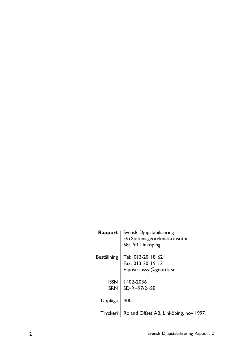|             | <b>Rapport</b>   Svensk Djupstabilisering<br>c/o Statens geotekniska institut<br>581 93 Linköping |
|-------------|---------------------------------------------------------------------------------------------------|
| Beställning | Tel: 013-20 18 62<br>Fax: 013-20 19 13<br>E-post: sussyl@geotek.se                                |
| <b>ISSN</b> | 1402-2036<br>$ISRN \perp SD-R$ --97/2--SE                                                         |
| Upplaga     | 400                                                                                               |
| Tryckeri    | Roland Offset AB, Linköping, nov 1997                                                             |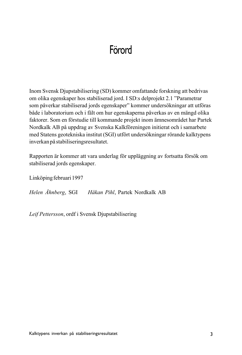### Förord

Inom Svensk Djupstabilisering (SD) kommer omfattande forskning att bedrivas om olika egenskaper hos stabiliserad jord. I SD:s delprojekt 2.1 "Parametrar som påverkar stabiliserad jords egenskaper" kommer undersökningar att utföras både i laboratorium och i fält om hur egenskaperna påverkas av en mängd olika faktorer. Som en förstudie till kommande projekt inom ämnesområdet har Partek Nordkalk AB på uppdrag av Svenska Kalkföreningen initierat och i samarbete med Statens geotekniska institut (SGI) utfört undersökningar rörande kalktypens inverkan på stabiliseringsresultatet.

Rapporten är kommer att vara underlag för uppläggning av fortsatta försök om stabiliserad jords egenskaper.

Linköping februari 1997

*Helen Åhnberg*, SGI *HÂkan Pihl*, Partek Nordkalk AB

*Leif Pettersson*, ordf i Svensk Djupstabilisering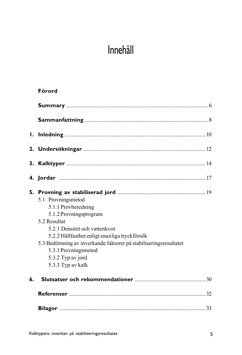# Innehåll

#### **Förord**

|    | 5.1 Provningsmetod<br>5.1.1 Provberedning<br>5.1.2 Provningsprogram<br>5.2 Resultat<br>5.2.1 Densitet och vattenkyot<br>5.2.2 Hållfasthet enligt enaxliga tryckförsök<br>5.3 Bedömning av inverkande faktorer på stabiliseringsresultatet<br>5.3.1 Provningsmetod<br>5.3.2 Typ av jord<br>5.3.3 Typ av kalk |  |
|----|-------------------------------------------------------------------------------------------------------------------------------------------------------------------------------------------------------------------------------------------------------------------------------------------------------------|--|
| 6. |                                                                                                                                                                                                                                                                                                             |  |
|    |                                                                                                                                                                                                                                                                                                             |  |
|    |                                                                                                                                                                                                                                                                                                             |  |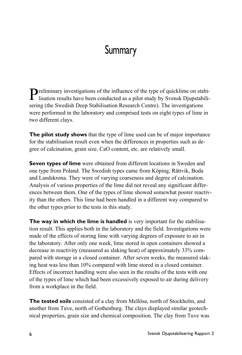### **Summary**

**P**reliminary investigations of the influence of the type of quicklime on stabi-<br>lisation results have been accepted in the contract of the type of quicklime on stabilisation results have been conducted as a pilot study by Svensk Djupstabilisering (the Swedish Deep Stabilisation Research Centre). The investigations were performed in the laboratory and comprised tests on eight types of lime in two different clays.

**The pilot study shows** that the type of lime used can be of major importance for the stabilisation result even when the differences in properties such as degree of calcination, grain size, CaO content, etc. are relatively small.

**Seven types of lime** were obtained from different locations in Sweden and one type from Poland. The Swedish types came from Köping, Rättvik, Boda and Landskrona. They were of varying coarseness and degree of calcination. Analysis of various properties of the lime did not reveal any significant differences between them. One of the types of lime showed somewhat poorer reactivity than the others. This lime had been handled in a different way compared to the other types prior to the tests in this study.

**The way in which the lime is handled** is very important for the stabilisation result. This applies both in the laboratory and the field. Investigations were made of the effects of storing lime with varying degrees of exposure to air in the laboratory. After only one week, lime stored in open containers showed a decrease in reactivity (measured as slaking heat) of approximately 33% compared with storage in a closed container. After seven weeks, the measured slaking heat was less than 10% compared with lime stored in a closed container. Effects of incorrect handling were also seen in the results of the tests with one of the types of lime which had been excessively exposed to air during delivery from a workplace in the field.

**The tested soils** consisted of a clay from Mellösa, north of Stockholm, and another from Tuve, north of Gothenburg. The clays displayed similar geotechnical properties, grain size and chemical composition. The clay from Tuve was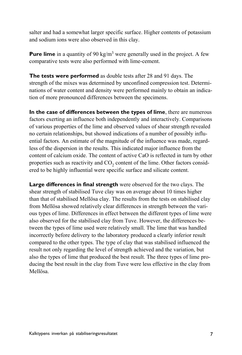salter and had a somewhat larger specific surface. Higher contents of potassium and sodium ions were also observed in this clay.

**Pure lime** in a quantity of 90 kg/m<sup>3</sup> were generally used in the project. A few comparative tests were also performed with lime-cement.

**The tests were performed** as double tests after 28 and 91 days. The strength of the mixes was determined by unconfined compression test. Determinations of water content and density were performed mainly to obtain an indication of more pronounced differences between the specimens.

**In the case of differences between the types of lime**, there are numerous factors exerting an influence both independently and interactively. Comparisons of various properties of the lime and observed values of shear strength revealed no certain relationships, but showed indications of a number of possibly influential factors. An estimate of the magnitude of the influence was made, regardless of the dispersion in the results. This indicated major influence from the content of calcium oxide. The content of active CaO is reflected in turn by other properties such as reactivity and CO<sub>2</sub> content of the lime. Other factors considered to be highly influential were specific surface and silicate content.

**Large differences in final strength** were observed for the two clays. The shear strength of stabilised Tuve clay was on average about 10 times higher than that of stabilised Mellösa clay. The results from the tests on stabilised clay from Mellösa showed relatively clear differences in strength between the various types of lime. Differences in effect between the different types of lime were also observed for the stabilised clay from Tuve. However, the differences between the types of lime used were relatively small. The lime that was handled incorrectly before delivery to the laboratory produced a clearly inferior result compared to the other types. The type of clay that was stabilised influenced the result not only regarding the level of strength achieved and the variation, but also the types of lime that produced the best result. The three types of lime producing the best result in the clay from Tuve were less effective in the clay from Mellösa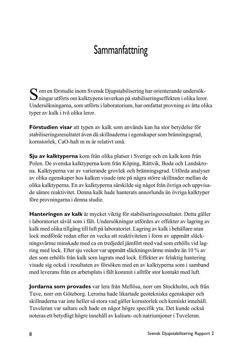# **Sammanfattning**

 $\bigcap$  om en förstudie inom Svensk Djupstabilisering har orienterande undersök- $\sum$ ningar utförts om kalktypens inverkan på stabiliseringseffekten i olika leror. Undersökningarna, som utförts i laboratorium, har omfattat provning av åtta olika typer av kalk i två olika leror.

**Förstudien visar** att typen av kalk som används kan ha stor betydelse för stabiliseringsresultatet även då skillnaderna i egenskaper som bränningsgrad, kornstorlek, CaO-halt m m är relativt små.

**Sju av kalktyperna** kom från olika platser i Sverige och en kalk kom från Polen. De svenska kalktyperna kom från Köping, Rättvik, Boda och Landskrona. Kalktyperna var av varierande grovlek och bränningsgrad. Utförda analyser av olika egenskaper hos kalken visade inte på några större skillnader mellan de olika kalktyperna. En av kalktyperna särskilde sig något från övriga och uppvisade sämre reaktivitet. Denna kalk hade hanterats annorlunda än övriga kalktyper före provningarna i denna studie.

**Hanteringen av kalk** är mycket viktig för stabiliseringsresultatet. Detta gäller i laboratoriet såväl som i fält. Undersökningar utfördes av effekter av lagring av kalk med olika tillgång till luft på laboratoriet. Lagring av kalk i behållare utan lock medförde redan efter en vecka att reaktiviteten i form av uppmätt släckningsvärme minskade med ca en tredjedel jämfört med vad som erhölls vid lagring med lock. Efter sju veckor var uppmätt släckningsvärme mindre än 10 % av den som erhölls från kalk som lagrats med lock. Effekter av felaktig hantering visade sig också i resultaten av försöken med en av kalktyperna som i samband med leverans från en arbetsplats i fält kommit i alltför stor kontakt med luft.

Jordarna som provades var lera från Mellösa, norr om Stockholm, och från Tuve, norr om Göteborg. Lerorna hade likartade geotekniska egenskaper och skillnaderna var inte heller så stora vad gäller kornstorlek och kemiskt innehåll. Tuveleran var saltare och hade en något högre specifik yta. Det kunde också noteras ett betydligt högre innehåll av kalium- och natriumjoner i Tuveleran.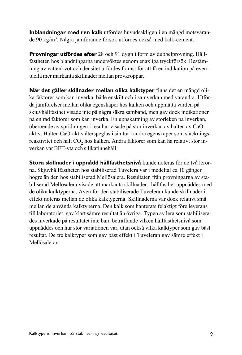**Inblandningar med ren kalk** utfördes huvudsakligen i en mängd motsvarande 90 kg/m<sup>3</sup>. Några jämförande försök utfördes också med kalk-cement.

**Provningar utfördes efter** 28 och 91 dygn i form av dubbelprovning. HÂllfastheten hos blandningarna undersöktes genom enaxliga tryckförsök. Bestämning av vattenkvot och densitet utfördes främst för att få en indikation på eventuella mer markanta skillnader mellan provkroppar.

När det gäller skillnader mellan olika kalktyper finns det en mängd olika faktorer som kan inverka, både enskilt och i samverkan med varandra. Utförda jämförelser mellan olika egenskaper hos kalken och uppmätta värden på skjuvhållfasthet visade inte på några säkra samband, men gav dock indikationer på en rad faktorer som kan inverka. En uppskattning av storleken på inverkan, oberoende av spridningen i resultat visade på stor inverkan av halten av CaOaktiv. Halten CaO-aktiv återspeglas i sin tur i andra egenskaper som släckningsreaktivitet och halt CO<sub>2</sub> hos kalken. Andra faktorer som kan ha relativt stor inverkan var BET-yta och silikatinnehÂll.

Stora skillnader i uppnådd hållfasthetsnivå kunde noteras för de två lerorna. SkjuvhÂllfastheten hos stabiliserad Tuvelera var i medeltal ca 10 gÂnger högre än den hos stabiliserad Mellösalera. Resultaten från provningarna av stabiliserad Mellösalera visade att markanta skillnader i hållfasthet uppnåddes med de olika kalktyperna. Även för den stabiliserade Tuveleran kunde skillnader i effekt noteras mellan de olika kalktyperna. Skillnaderna var dock relativt smÂ mellan de använda kalktyperna. Den kalk som hanterats felaktigt före leverans till laboratoriet, gav klart sämre resultat än övriga. Typen av lera som stabiliserades inverkade på resultatet inte bara beträffande vilken hållfasthetsnivå som uppnåddes och hur stor variationen var, utan också vilka kalktyper som gav bäst resultat. De tre kalktyper som gav bäst effekt i Tuveleran gav sämre effekt i Mellösaleran.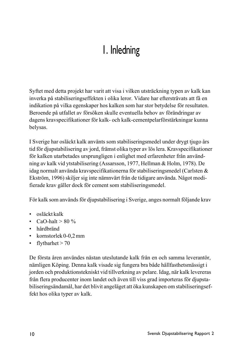# 1. Inledning

Syftet med detta projekt har varit att visa i vilken utsträckning typen av kalk kan inverka på stabiliseringseffekten i olika leror. Vidare har eftersträvats att få en indikation på vilka egenskaper hos kalken som har stor betydelse för resultaten. Beroende på utfallet av försöken skulle eventuella behov av förändringar av dagens kravspecifikationer för kalk- och kalk-cementpelarförstärkningar kunna belysas.

I Sverige har osläckt kalk använts som stabiliseringsmedel under drygt tjugo års tid för djupstabilisering av jord, främst olika typer av lös lera. Kravspecifikationer för kalken utarbetades ursprungligen i enlighet med erfarenheter från användning av kalk vid ytstabilisering (Assarsson, 1977, Hellman & Holm, 1978). De idag normalt använda kravspecifikationerna för stabiliseringsmedel (Carlsten & Ekström, 1996) skiljer sig inte nämnvärt från de tidigare använda. Något modifierade krav gäller dock för cement som stabiliseringsmedel.

För kalk som används för djupstabilisering i Sverige, anges normalt följande krav

- osläckt kalk
- $\cdot$  CaO-halt > 80 %
- hårdbränd
- kornstorlek  $0-0.2$  mm
- flytbarhet  $> 70$

De första åren användes nästan uteslutande kalk från en och samma leverantör, nämligen Köping. Denna kalk visade sig fungera bra både hållfasthetsmässigt i jorden och produktionstekniskt vid tillverkning av pelare. Idag, när kalk levereras från flera producenter inom landet och även till viss grad importeras för djupstabiliseringsändamål, har det blivit angeläget att öka kunskapen om stabiliseringseffekt hos olika typer av kalk.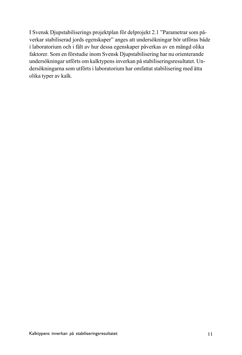I Svensk Djupstabiliserings projektplan för delprojekt 2.1 "Parametrar som påverkar stabiliserad jords egenskaper" anges att undersökningar bör utföras både i laboratorium och i fält av hur dessa egenskaper påverkas av en mängd olika faktorer. Som en förstudie inom Svensk Djupstabilisering har nu orienterande undersökningar utförts om kalktypens inverkan på stabiliseringsresultatet. Undersökningarna som utförts i laboratorium har omfattat stabilisering med åtta olika typer av kalk.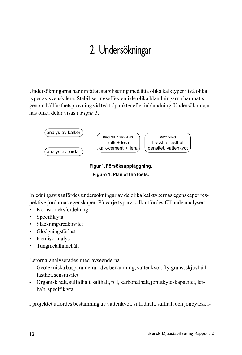# 2. Undersökningar

Undersökningarna har omfattat stabilisering med åtta olika kalktyper i två olika typer av svensk lera. Stabiliseringseffekten i de olika blandningarna har mätts genom hållfasthetsprovning vid två tidpunkter efter inblandning. Undersökningarnas olika delar visas i *Figur 1*.



**Figur 1. Fˆrsˆksuppl‰ggning. Figure 1. Plan of the tests.**

Inledningsvis utfördes undersökningar av de olika kalktypernas egenskaper respektive jordarnas egenskaper. På varje typ av kalk utfördes följande analyser:

- Kornstorleksfördelning
- $\cdot$  Specifik yta
- Släckningsreaktivitet
- Glödgningsförlust
- Kemisk analys
- Tungmetallinnehåll

Lerorna analyserades med avseende pÂ

- Geotekniska basparametrar, dvs benämning, vattenkvot, flytgräns, skjuvhållfasthet, sensitivitet
- Organisk halt, sulfidhalt, salthalt, pH, karbonathalt, jonutbyteskapacitet, lerhalt, specifik yta

I projektet utfördes bestämning av vattenkvot, sulfidhalt, salthalt och jonbyteska-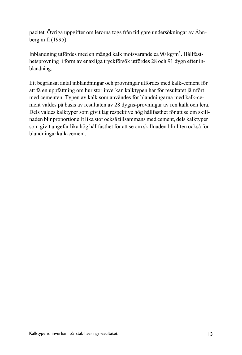pacitet. Övriga uppgifter om lerorna togs från tidigare undersökningar av Åhnberg m fl (1995).

Inblandning utfördes med en mängd kalk motsvarande ca 90 kg/m<sup>3</sup>. Hållfasthetsprovning i form av enaxliga tryckförsök utfördes 28 och 91 dygn efter inblandning.

Ett begränsat antal inblandningar och provningar utfördes med kalk-cement för att få en uppfattning om hur stor inverkan kalktypen har för resultatet jämfört med cementen. Typen av kalk som användes för blandningarna med kalk-cement valdes på basis av resultaten av 28 dygns-provningar av ren kalk och lera. Dels valdes kalktyper som givit låg respektive hög hållfasthet för att se om skillnaden blir proportionellt lika stor också tillsammans med cement, dels kalktyper som givit ungefär lika hög hållfasthet för att se om skillnaden blir liten också för blandningar kalk-cement.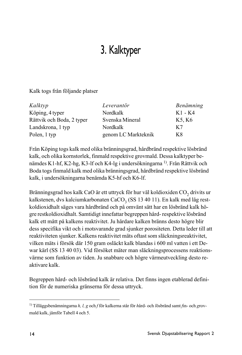# 3. Kalktyper

Kalk togs från följande platser

| Kalktyp                   | Leverantör          | Benämning |
|---------------------------|---------------------|-----------|
| Köping, 4 typer           | Nordkalk            | K1 - K4   |
| Rättvik och Boda, 2 typer | Svenska Mineral     | K5, K6    |
| Landskrona, 1 typ         | Nordkalk            | K7        |
| Polen, 1 typ              | genom LC Markteknik | K8        |

Från Köping togs kalk med olika bränningsgrad, hårdbränd respektive lösbränd kalk, och olika kornstorlek, finmald respektive grovmald. Dessa kalktyper benämdes K1-hf, K2-hg, K3-lf och K4-lg i undersökningarna <sup>1)</sup>. Från Rättvik och Boda togs finmald kalk med olika bränningsgrad, hårdbränd respektive lösbränd kalk, i undersökningarna benämda K5-hf och K6-lf.

Bränningsgrad hos kalk CaO är ett uttryck för hur väl koldioxiden CO<sub>2</sub> drivits ur kalkstenen, dvs kalciumkarbonaten CaCO<sub>3</sub> (SS 13 40 11). En kalk med låg restkoldioxidhalt säges vara hårdbränd och på omvänt sätt har en lösbränd kalk högre restkoldioxidhalt. Samtidigt innefattar begreppen hård- respektive lösbränd kalk ett mått på kalkens reaktivitet. Ju hårdare kalken bränns desto högre blir dess specifika vikt och i motsvarande grad sjunker porositeten. Detta leder till att reaktiviteten sjunker. Kalkens reaktivitet mäts oftast som släckningsreaktivitet, vilken mäts i försök där 150 gram osläckt kalk blandas i 600 ml vatten i ett Dewar kärl (SS 13 40 03). Vid försöket mäter man släckningsprocessens reaktionsvärme som funktion av tiden. Ju snabbare och högre värmeutveckling desto reaktivare kalk.

Begreppen hård- och lösbränd kalk är relativa. Det finns ingen etablerad definition för de numeriska gränserna för dessa uttryck.

<sup>&</sup>lt;sup>1)</sup> Tilläggsbenämningarna *h, l, g* och *f* för kalkerna står för hård- och lösbränd samt *f*in- och grovmald kalk, jämför Tabell 4 och 5.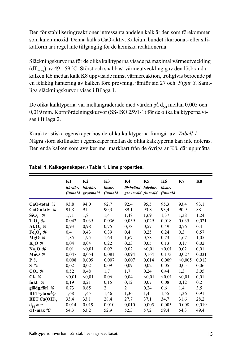Den för stabiliseringreaktioner intressanta andelen kalk är den som förekommer som kalciumoxid. Denna kallas CaO-aktiv. Kalcium bundet i karbonat- eller silikatform är i regel inte tillgänglig för de kemiska reaktionerna.

Släckningskurvorna för de olika kalktyperna visade på maximal värmeutveckling (dT<sub>max</sub>) av 49 - 59 °C. Störst och snabbast värmeutveckling gav den lösbrända kalken K6 medan kalk K8 uppvisade minst värmereaktion, troligtvis beroende på en felaktig hantering av kalken före provning, jämför sid 27 och *Figur 8*. Samtliga släckningskurvor visas i Bilaga 1.

De olika kalktyperna var mellangraderade med värden på  $d_{50}$  mellan 0,005 och 0,019 mm. Kornfördelningskurvor (SS-ISO 2591-1) för de olika kalktyperna visas i Bilaga 2.

Karakteristiska egenskaper hos de olika kalktyperna framgÂr av *Tabell 1*. NÂgra stora skillnader i egenskaper mellan de olika kalktyperna kan inte noteras. Den enda kalken som avviker mer märkbart från de övriga är K8, där uppmätta

|                               | K1<br>hårdbr. hårdbr. | K2<br>finmald grovmald finmald | K3<br>lösbr.   | K4<br>lösbränd hårdbr.<br>grovmald finmald finmald | K5     | K6<br>lösbr. | K7      | K8    |
|-------------------------------|-----------------------|--------------------------------|----------------|----------------------------------------------------|--------|--------------|---------|-------|
| CaO-total %                   | 93,8                  | 94,0                           | 92,7           | 92,4                                               | 95,5   | 95,3         | 93,4    | 93,1  |
| CaO-aktiv $%$                 | 91,8                  | 91                             | 90,3           | 89,1                                               | 93,8   | 93,4         | 90,9    | 88    |
| SiO, %                        | 1,71                  | 1,8                            | 1,4            | 1,48                                               | 1,69   | 1,37         | 1,38    | 1,24  |
| TiO <sub>2</sub> %            | 0,043                 | 0,035                          | 0,036          | 0,039                                              | 0,029  | 0.018        | 0,035   | 0,021 |
| $\mathbf{Al}_2\mathbf{O}_3$ % | 0,93                  | 0.98                           | 0,75           | 0,78                                               | 0,57   | 0,49         | 0,76    | 0,4   |
| $Fe2O3$ %                     | 0,4                   | 0,43                           | 0,39           | 0,4                                                | 0,25   | 0,24         | 0,3     | 0,57  |
| MgO %                         | 1,85                  | 1,95                           | 1,63           | 1,67                                               | 0,78   | 0,73         | 1,67    | 1,05  |
| $K_2O\%$                      | 0,04                  | 0,04                           | 0,22           | 0,23                                               | 0,05   | 0,13         | 0,17    | 0,02  |
| Na <sub>2</sub> O %           | 0,01                  | < 0.01                         | 0,02           | 0,02                                               | < 0.01 | < 0.01       | 0,02    | 0,01  |
| MnO $%$                       | 0,047                 | 0,054                          | 0,081          | 0,094                                              | 0,164  | 0,173        | 0,027   | 0,031 |
| $P_{\infty}$                  | 0,008                 | 0,009                          | 0,007          | 0,007                                              | 0,014  | 0,009        | < 0,005 | 0,013 |
| $S\%$                         | 0,02                  | 0,02                           | 0,09           | 0,09                                               | 0,02   | 0,05         | 0,05    | 0,06  |
| CO, %                         | 0,52                  | 0,48                           | 1,7            | 1,7                                                | 0,24   | 0,44         | 1,3     | 3,05  |
| $Cl-$ %                       | < 0.01                | < 0.01                         | 0,06           | 0,04                                               | < 0.01 | < 0.01       | < 0.01  | 0,01  |
| fukt $%$                      | 0,19                  | 0,21                           | 0,15           | 0,12                                               | 0,07   | 0.08         | 0,12    | 0,2   |
| glödg.förl %                  | 0,73                  | 0,65                           | $\overline{c}$ | 2                                                  | 0,24   | 0,6          | 1,4     | 3,5   |
| BET-yta $m^2/g$               | 1,68                  | 1,45                           | 1,46           | 1,36                                               | 1,4    | 1,55         | 1,36    | 0,91  |
| BET Ca(OH),                   | 33,4                  | 33,1                           | 28,4           | 27,7                                               | 37,1   | 34,7         | 31,6    | 28,2  |
| $\mathbf{d}_{50}$ mm          | 0,014                 | 0,019                          | 0,010          | 0,010                                              | 0,005  | 0,005        | 0,008   | 0,019 |
| $dT$ -max ${}^oC$             | 54,3                  | 53,2                           | 52,9           | 52,3                                               | 57,2   | 59,4         | 54,3    | 49,4  |

#### **Tabell 1. Kalkegenskaper. / Table 1. Lime properties.**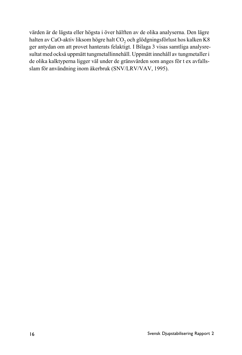värden är de lägsta eller högsta i över hälften av de olika analyserna. Den lägre halten av CaO-aktiv liksom högre halt CO<sub>2</sub> och glödgningsförlust hos kalken K8 ger antydan om att provet hanterats felaktigt. I Bilaga 3 visas samtliga analysresultat med också uppmätt tungmetallinnehåll. Uppmätt innehåll av tungmetaller i de olika kalktyperna ligger väl under de gränsvärden som anges för t ex avfallsslam för användning inom åkerbruk (SNV/LRV/VAV, 1995).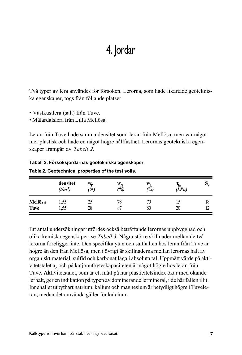### 4. Jordar

Två typer av lera användes för försöken. Lerorna, som hade likartade geotekniska egenskaper, togs från följande platser

- Västkustlera (salt) från Tuve.
- Mälardalslera från Lilla Mellösa

Leran från Tuve hade samma densitet som leran från Mellösa, men var något mer plastisk och hade en något högre hållfasthet. Lerornas geotekniska egenskaper framgÂr av *Tabell 2*.

|                        | Table 2. Georgeninical properties of the test solls. |          |                               |           |                          |    |
|------------------------|------------------------------------------------------|----------|-------------------------------|-----------|--------------------------|----|
|                        | densitet<br>$(t/m^3)$                                | w,<br>%) | $\mathbf{w}_\mathbf{N}$<br>%) | W,<br>(%) | $\tau_{\rm fu}$<br>(kPa) | N  |
| Mellösa<br><b>Tuve</b> | l.55<br>l.55                                         | 25<br>28 | 78<br>87                      | 70<br>80  | 20                       | 18 |

**Tabell 2. Fˆrsˆksjordarnas geotekniska egenskaper.**

Ett antal undersökningar utfördes också beträffande lerornas uppbyggnad och olika kemiska egenskaper, se *Tabell 3*. Några större skillnader mellan de två

### **Table 2. Geotechnical properties of the test soils.**

lerorna föreligger inte. Den specifika ytan och salthalten hos leran från Tuve är högre än den från Mellösa, men i övrigt är skillnaderna mellan lerornas halt av organiskt material, sulfid och karbonat låga i absoluta tal. Uppmätt värde på aktivitetstalet a<sub>c</sub> och på katjonutbyteskapaciteten är något högre hos leran från Tuve. Aktivitetstalet, som är ett mått på hur plasticitetsindex ökar med ökande lerhalt, ger en indikation på typen av dominerande lermineral, i de här fallen illit. Innehållet utbytbart natrium, kalium och magnesium är betydligt högre i Tuveleran, medan det omvända gäller för kalcium.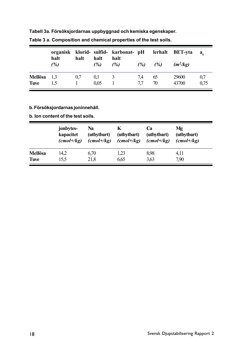|             | halt | halt | halt | organisk klorid- sulfid- karbonat- pH lerhalt BET-yta<br>halt |     |     |            | $a_{\alpha}$ |
|-------------|------|------|------|---------------------------------------------------------------|-----|-----|------------|--------------|
|             | (%)  |      | (%)  | (%)                                                           | (%) | (%) | $(m^2/kg)$ |              |
| Mellösa     | -1.3 | 0.7  | 0.1  | 3                                                             | 7.4 | 65  | 29600      | 0.7          |
| <b>Tuve</b> | 1.5  |      | 0.05 |                                                               | 77  | 70  | 43700      | 0.75         |

**Tabell 3a. Fˆrsˆksjordarnas uppbyggnad och kemiska egenskaper.**

#### **Table 3 a. Composition and chemical properties of the test soils.**

#### **b. Fˆrsˆksjordarnas joninnehÂll.**

#### **b. Ion content of the test soils.**

|         | jonbytes-<br>kapacitet<br>$(cmol + /kg)$ | Na<br>(utbytbart)<br>$(cmol +/kg)$ | K<br>(utbytbart)<br>$(cmol +/kg)$ | Cа<br>(utbytbart)<br>$(cmol+\kappa g)$ | Mφ<br>(utbytbart)<br>$(cmol+\kappa g)$ |
|---------|------------------------------------------|------------------------------------|-----------------------------------|----------------------------------------|----------------------------------------|
| Mellösa | 14,2                                     | 6.70                               | 1.23                              | 8.98                                   | 4.11                                   |
| Tuve    | 15.5                                     | 21,8                               | 6.65                              | 3.63                                   | 7,90                                   |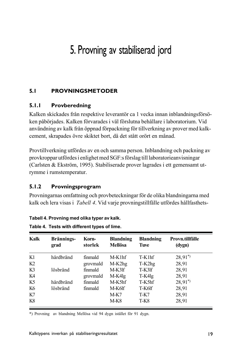## 5. Provning av stabiliserad jord

#### **5.1 PROVNINGSMETODER**

#### **5.1.1 Provberedning**

Kalken skickades från respektive leverantör ca 1 vecka innan inblandningsförsöken påbörjades. Kalken förvarades i väl förslutna behållare i laboratorium. Vid användning av kalk från öppnad förpackning för tillverkning av prover med kalkcement, skrapades övre skiktet bort, då det stått orört en månad.

Provtillverkning utfördes av en och samma person. Inblandning och packning av provkroppar utfördes i enlighet med SGF:s förslag till laboratorieanvisningar (Carlsten & Ekström, 1995). Stabiliserade prover lagrades i ett gemensamt utrymme i rumstemperatur.

#### **5.1.2 Provningsprogram**

Provningarnas omfattning och provbeteckningar för de olika blandningarna med kalk och lera visas i *Tabell 4*. Vid varje provningstillfälle utfördes hållfasthets-

#### **Tabell 4. Provning med olika typer av kalk.**

| Kalk           | Brännings-<br>grad | Korn-<br>storlek | <b>Blandning</b><br><b>Mellösa</b> | <b>Blandning</b><br><b>Tuve</b> | Provn.tillfälle<br>(dygn) |
|----------------|--------------------|------------------|------------------------------------|---------------------------------|---------------------------|
| K1             | hårdbränd          | finmald          | M-K1hf                             | $T-K1hf$                        | $28,91^{*}$               |
| K <sub>2</sub> |                    | grovmald         | M-K2hg                             | T-K2hg                          | 28,91                     |
| K3             | lösbränd           | finmald          | M-K3lf                             | T-K3lf                          | 28,91                     |
| K4             |                    | grovmald         | M-K4lg                             | T-K4lg                          | 28,91                     |
| K5             | hårdbränd          | finmald          | M-K5hf                             | T-K5hf                          | $28,91^{*}$               |
| K6             | lösbränd           | finmald          | M-K6lf                             | T-K6lf                          | 28,91                     |
| K7             |                    |                  | M-K7                               | T-K7                            | 28,91                     |
| K8             |                    |                  | M-K8                               | T-K8                            | 28,91                     |

**Table 4. Tests with different types of lime.**

\*) Provning av blandning Mellösa vid 94 dygn istället för 91 dygn.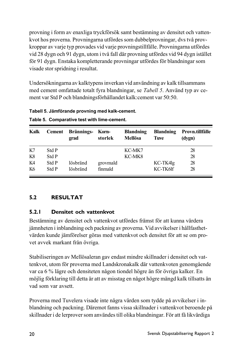provning i form av enaxliga tryckförsök samt bestämning av densitet och vattenkvot hos proverna. Provningarna utfördes som dubbelprovningar, dvs två provkroppar av varje typ provades vid varje provningstillfälle. Provningarna utfördes vid 28 dygn och 91 dygn, utom i två fall där provning utfördes vid 94 dygn istället för 91 dygn. Enstaka kompletterande provningar utfördes för blandningar som visade stor spridning i resultat.

Undersökningarna av kalktypens inverkan vid användning av kalk tillsammans med cement omfattade totalt fyra blandningar, se *Tabell 5*. Använd typ av cement var Std P och blandningsförhållandet kalk: cement var 50:50.

| Kalk | <b>Cement</b> | Brännings-<br>grad | Korn-<br>storlek | <b>Blandning</b><br>Mellösa | <b>Blandning</b><br><b>Tuve</b> | Provn.tillfälle<br>(dygn) |
|------|---------------|--------------------|------------------|-----------------------------|---------------------------------|---------------------------|
| K7   | Std P         |                    |                  | KC-MK7                      |                                 | 28                        |
| K8   | Std P         |                    |                  | KC-MK8                      |                                 | 28                        |
| K4   | Std P         | lösbränd           | grovmald         |                             | KC-TK4lg                        | 28                        |
| K6   | Std P         | lösbränd           | finmald          |                             | KC-TK6lf                        | 28                        |

Tabell 5. Jämförande provning med kalk-cement.

#### **Table 5. Comparative test with lime-cement.**

### **5.2 RESULTAT**

#### **5.2.1 Densitet och vattenkvot**

Bestämning av densitet och vattenkvot utfördes främst för att kunna värdera jämnheten i inblandning och packning av proverna. Vid avvikelser i hållfasthetvärden kunde jämförelser göras med vattenkvot och densitet för att se om provet avvek markant från övriga.

Stabiliseringen av Mellösaleran gav endast mindre skillnader i densitet och vattenkvot, utom för proverna med Landskronakalk där vattenkvoten genomgående var ca 6 % lägre och densiteten någon tiondel högre än för övriga kalker. En möjlig förklaring till detta är att av misstag en något högre mängd kalk tillsatts än vad som var avsett.

Proverna med Tuvelera visade inte några värden som tydde på avvikelser i inblandning och packning. Däremot fanns vissa skillnader i vattenkvot beroende på skillnader i de lerprover som användes till olika blandningar. För att få likvärdiga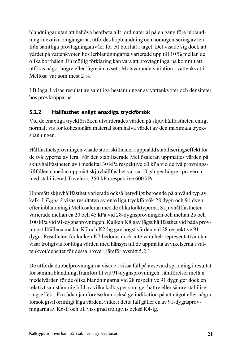blandningar utan att behöva bearbeta allt jordmaterial på en gång före inblandning i de olika omgångarna, utfördes hopblandning och homogenisering av lera från samtliga provtagningsnivåer för ett borrhål i taget. Det visade sig dock att värdet på vattenkvoten hos lerblandningarna varierade upp till 10 % mellan de olika borrhÂlen. En mˆjlig fˆrklaring kan vara att provtagningarna kommit att utföras något högre eller lägre än avsett. Motsvarande variation i vattenkvot i Mellösa var som mest 2 %

I Bilaga 4 visas resultat av samtliga bestämningar av vattenkvoter och densiteter hos provkropparna.

#### **5.2.2 Hållfasthet enligt enaxliga tryckförsök**

Vid de enaxliga tryckförsöken utvärderades värden på skjuvhållfastheten enligt normalt vis för kohesionära material som halva värdet av den maximala tryckspänningen.

Hållfasthetsprovningen visade stora skillnader i uppnådd stabiliseringseffekt för de två typerna av lera. För den stabiliserade Mellösaleran uppmättes värden på skjuvhållfastheten av i medeltal 30 kPa respektive 60 kPa vid de två provningstillfällena, medan uppmätt skjuvhållfasthet var ca 10 gånger högre i proverna med stabiliserad Tuvelera, 350 kPa respektive 600 kPa

Uppmätt skjuvhållfasthet varierade också betydligt beroende på använd typ av kalk. I *Figur 2* visas resultaten av enaxliga tryckförsök 28 dygn och 91 dygn efter inblandning i Mellösaleran med de olika kalktyperna. Skjuvhållfastheten varierade mellan ca 20 och 45 kPa vid 28-dygnsprovningen och mellan 25 och 100 kPa vid 91-dygnsprovningen. Kalken K8 gav lägst hållfasthet vid båda provningstillfällena medan K7 och K2-hg gav högst värden vid 28 respektive 91 dygn. Resultaten för kalken K7 bedöms dock inte vara helt representativa utan visar troligtvis för höga värden med hänsyn till de uppmätta avvikelserna i vattenkvot/densitet för dessa prover, jämför avsnitt 5.2.1.

De utförda dubbelprovningarna visade i vissa fall på avsevärd spridning i resultat för samma blandning, framförallt vid 91-dygnsprovningen. Jämförelser mellan medelvärden för de olika blandningarna vid 28 respektive 91 dygn ger dock en relativt samstämmig bild av vilka kalktyper som ger bättre eller sämre stabiliseringseffekt. En sådan jämförelse kan också ge indikation på att något eller några försök givit orimligt låga värden, vilket i detta fall gäller en av 91-dygnsprovningarna av K6-lf och till viss grad troligtvis också K4-lg.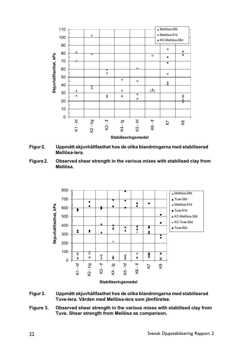

- Figur 2. Uppmätt skjuvhållfasthet hos de olika blandningarna med stabiliserad **Mellˆsa-lera.**
- **Figure 2. Observed shear strength in the various mixes with stabilised clay from Mellˆsa.**



- Figur 3. Uppmätt skjuvhållfasthet hos de olika blandningarna med stabiliserad Tuve-lera. Värden med Mellösa-lera som jämförelse.
- **Figure 3. Observed shear strength in the various mixes with stabilised clay from** Tuve. Shear strength from Mellösa as comparison.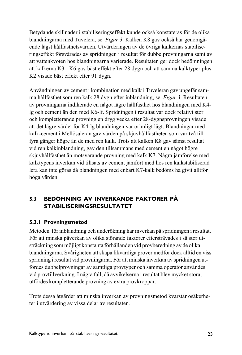Betydande skillnader i stabiliseringseffekt kunde också konstateras för de olika blandningarna med Tuvelera, se *Figur 3*. Kalken K8 gav också här genomgående lägst hållfasthetsvärden. Utvärderingen av de övriga kalkernas stabiliseringseffekt försvårades av spridningen i resultat för dubbelprovningarna samt av att vattenkvoten hos blandningarna varierade. Resultaten ger dock bedömningen att kalkerna K3 - K6 gav bäst effekt efter 28 dygn och att samma kalktyper plus K2 visade bäst effekt efter 91 dygn.

Användningen av cement i kombination med kalk i Tuveleran gav ungefär samma hÂllfasthet som ren kalk 28 dygn efter inblandning, se *Figur 3*. Resultaten av provningarna indikerade en något lägre hållfasthet hos blandningen med K4lg och cement ‰n den med K6-lf. Spridningen i resultat var dock relativt stor och kompletterande provning en dryg vecka efter 28-dygnsprovningen visade att det lägre värdet för K4-lg blandningen var orimligt lågt. Blandningar med kalk-cement i Mellösaleran gav värden på skjuvhållfastheten som var två till fyra gånger högre än de med ren kalk. Trots att kalken K8 gav sämst resultat vid ren kalkinblandning, gav den tillsammans med cement en något högre skjuvhållfasthet än motsvarande provning med kalk K7. Några jämförelse med kalktypens inverkan vid tillsats av cement jämfört med hos ren kalkstabiliserad lera kan inte göras då blandningen med enbart K7-kalk bedöms ha givit alltför höga värden.

#### **5.3 BEDÖMNING AV INVERKANDE FAKTORER PÅ STABILISERINGSRESULTATET**

#### **5.3.1 Provningsmetod**

Metoden för inblandning och underökning har inverkan på spridningen i resultat. För att minska påverkan av olika störande faktorer eftersträvades i så stor utsträckning som möjligt konstanta förhållanden vid provberedning av de olika blandningarna. Svårigheten att skapa likvärdiga prover medför dock alltid en viss spridning i resultat vid provningarna. För att minska inverkan av spridningen utfördes dubbelprovningar av samtliga provtyper och samma operatör användes vid provtillverkning. I några fall, då avvikelserna i resultat blev mycket stora, utfördes kompletterande provning av extra provkroppar.

Trots dessa åtgärder att minska inverkan av provningsmetod kvarstår osäkerheter i utvärdering av vissa delar av resultaten.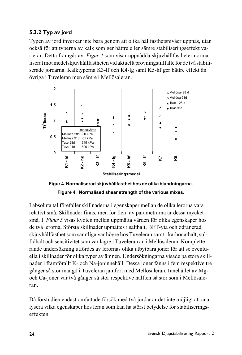### **5.3.2 Typ av jord**

Typen av jord inverkar inte bara genom att olika hållfasthetsnivåer uppnås, utan också för att typerna av kalk som ger bättre eller sämre stabiliseringseffekt varierar. Detta framgÂr av *Figur 4* som visar uppnÂdda skjuvhÂllfastheter normaliserat mot medelskjuvhållfastheten vid aktuellt provningstillfälle för de två stabiliserade jordarna. Kalktyperna K3-lf och K4-lg samt K5-hf ger bättre effekt än övriga i Tuveleran men sämre i Mellösaleran.





I absoluta tal förefaller skillnaderna i egenskaper mellan de olika lerorna vara relativt små. Skillnader finns, men för flera av parametrarna är dessa mycket små. I *Figur 5* visas kvoten mellan uppmätta värden för olika egenskaper hos de två lerorna. Största skillnader upmättes i salthalt, BET-yta och odränerad skjuvhållfasthet som samtliga var högre hos Tuveleran samt i karbonathalt, sulfidhalt och sensitivitet som var lägre i Tuveleran än i Mellösaleran. Kompletterande undersökning utfördes av lerornas olika utbytbara joner för att se eventuella i skillnader för olika typer av ämnen. Undersökningarna visade på stora skillnader i framförallt K- och Na-joninnehåll. Dessa joner fanns i fem respektive tre gånger så stor mängd i Tuveleran jämfört med Mellösaleran. Innehållet av Mgoch Ca-joner var två gånger så stor respektive hälften så stor som i Mellösaleran.

Då förstudien endast omfattade försök med två jordar är det inte möjligt att analysera vilka egenskaper hos leran som kan ha störst betydelse för stabiliseringseffekten.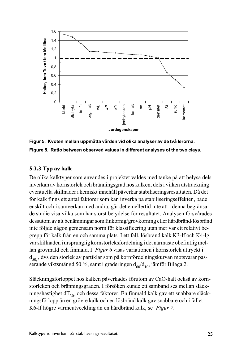

Figur 5. Kvoten mellan uppmätta värden vid olika analyser av de två lerorna. **Figure 5. Ratio between observed values in different analyses of the two clays.**

#### **5.3.3 Typ av kalk**

De olika kalktyper som användes i projektet valdes med tanke på att belysa dels inverkan av kornstorlek och bränningsgrad hos kalken, dels i vilken utsträckning eventuella skillnader i kemiskt innehÂll pÂverkar stabiliseringsresultaten. DÂ det för kalk finns ett antal faktorer som kan inverka på stabiliseringseffekten, både enskilt och i samverkan med andra, går det emellertid inte att i denna begränsade studie visa vilka som har störst betydelse för resultatet. Analysen försvårades dessutom av att benämningar som finkornig/grovkorning eller hårdbränd/lösbränd inte följde någon gemensam norm för klassificering utan mer var ett relativt begrepp för kalk från en och samma plats. I ett fall, lösbränd kalk K3-lf och K4-lg, var skillnaden i ursprunglig kornstorleksfördelning i det närmaste obefintlig mellan grovmald och finmald. I *Figur 6* visas variationen i kornstorlek uttryckt i  $d_{50}$ , dvs den storlek av partiklar som på kornfördelningskurvan motsvarar passerande viktsmängd 50 %, samt i graderingen  $d_{60}/d_{10}$ , jämför Bilaga 2.

Släckningsförloppet hos kalken påverkades förutom av CaO-halt också av kornstorleken och bränningsgraden. I försöken kunde ett samband ses mellan släckningshastighet d $T_{30s}$  och dessa faktorer. En finmald kalk gav ett snabbare släckningsförlopp än en grövre kalk och en lösbränd kalk gav snabbare och i fallet K6-lf högre värmeutveckling än en hårdbränd kalk, se *Figur 7*.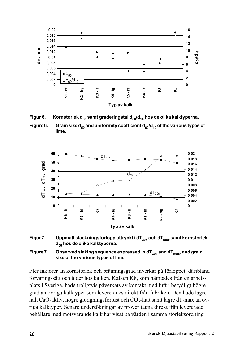

Figur 6. Kornstorlek d<sub>50</sub> samt graderingstal d<sub>60</sub>/d<sub>10</sub> hos de olika kalktyperna.

**Figure 6.** Grain size  $d_{50}$  and uniformity coefficient  $d_{50}/d_{40}$  of the various types of **lime.**







Fler faktorer än kornstorlek och bränningsgrad inverkar på förloppet, däribland förvaringssätt och ålder hos kalken. Kalken K8, som hämtades från en arbetsplats i Sverige, hade troligtvis påverkats av kontakt med luft i betydligt högre grad än övriga kalktyper som levererades direkt från fabriken. Den hade lägre halt CaO-aktiv, högre glödgningsförlust och CO<sub>2</sub>-halt samt lägre dT-max än övriga kalktyper. Senare undersökningar av prover tagna direkt från levererade behållare med motsvarande kalk har visat på värden i samma storleksordning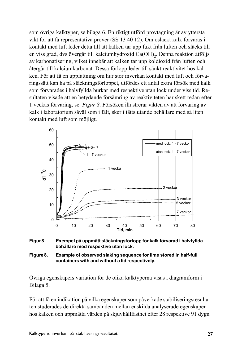som övriga kalktyper, se bilaga 6. En riktigt utförd provtagning är av yttersta vikt för att få representativa prover (SS 13 40 12). Om osläckt kalk förvaras i kontakt med luft leder detta till att kalken tar upp fukt från luften och släcks till en viss grad, dvs övergår till kalciumhydroxid Ca(OH)<sub>2</sub>. Denna reaktion åtföljs av karbonatisering, vilket innebär att kalken tar upp koldioxid från luften och återgår till kalciumkarbonat. Dessa förlopp leder till sänkt reaktivitet hos kalken. För att få en uppfattning om hur stor inverkan kontakt med luft och förvaringssätt kan ha på släckningsförloppet, utfördes ett antal extra försök med kalk som förvarades i halvfyllda burkar med respektive utan lock under viss tid. Resultaten visade att en betydande försämring av reaktiviteten har skett redan efter 1 veckas förvaring, se *Figur 8*. Försöken illustrerar vikten av att förvaring av kalk i laboratorium såväl som i fält, sker i tättslutande behållare med så liten kontakt med luft som möjligt.







Övriga egenskapers variation för de olika kalktyperna visas i diagramform i Bilaga 5.

För att få en indikation på vilka egenskaper som påverkade stabiliseringsresultaten studerades de direkta sambanden mellan enskilda analyserade egenskaper hos kalken och uppmätta värden på skjuvhållfasthet efter 28 respektive 91 dygn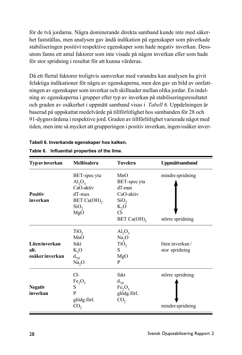för de två jordarna. Några dominerande direkta samband kunde inte med säkerhet fastställas, men analysen gav ändå indikation på egenskaper som påverkade stabiliseringen positivt respektive egenskaper som hade negativ inverkan. Dessutom fanns ett antal faktorer som inte visade på någon inverkan eller som hade för stor spridning i resultat för att kunna värderas.

DÂ ett flertal faktorer troligtvis samverkar med varandra kan analysen ha givit felaktiga indikationer för några av egenskaperna, men den gav en bild av omfattningen av egenskaper som inverkar och skillnader mellan olika jordar. En indelning av egenskaperna i grupper efter typ av inverkan på stabiliseringsresultatet och graden av osäkerhet i uppmätt samband visas i *Tabell 6*. Uppdelningen är baserad på uppskattat medelvärde på tillförlitlighet hos sambanden för 28 och 91-dygnsvärdena i respektive jord. Graden av tillförlitlighet varierade något med tiden, men inte så mycket att grupperingen i positiv inverkan, ingen/osäker inver-

| <b>Typavinverkan</b> | Mellösalera                    | <b>Tuvelera</b>                | <b>Uppmättsamband</b> |
|----------------------|--------------------------------|--------------------------------|-----------------------|
|                      | BET-spec yta                   | MnO                            | mindre spridning      |
|                      | $\text{Al}_2\text{O}_3$        | BET-spec yta                   |                       |
|                      | CaO-aktiv                      | dT-max                         |                       |
| <b>Positiv</b>       | dT-max                         | CaO-aktiv                      |                       |
| inverkan             | BET Ca(OH),                    | SiO <sub>2</sub>               |                       |
|                      | SiO <sub>2</sub>               | $K_2O$                         |                       |
|                      | MgO                            | CI-                            |                       |
|                      |                                | BET Ca(OH),                    | större spridning      |
|                      | TiO <sub>2</sub>               | $\text{Al}_2\text{O}_3$        |                       |
|                      | MnO                            | Na <sub>2</sub> O              |                       |
| Liten inverkan       | fukt                           | TiO <sub>2</sub>               | liten inverkan/       |
| alt.                 | $K_2O$                         | S                              | stor spridning        |
| osäker inverkan      | $d_{50}$                       | MgO                            |                       |
|                      | Na <sub>2</sub> O              | P                              |                       |
|                      | $Cl-$                          | fukt                           | större spridning      |
|                      | Fe <sub>2</sub> O <sub>3</sub> | $d_{50}$                       |                       |
| <b>Negativ</b>       | S                              | Fe <sub>2</sub> O <sub>3</sub> |                       |
| inverkan             | P                              | glödg.förl.                    |                       |
|                      | glödg.förl.                    | CO <sub>2</sub>                |                       |
|                      | CO <sub>2</sub>                |                                | mindre spridning      |

#### **Tabell 6. Inverkande egenskaper hos kalken.**

| Table 6. Influential properties of the lime. |  |  |  |  |
|----------------------------------------------|--|--|--|--|
|----------------------------------------------|--|--|--|--|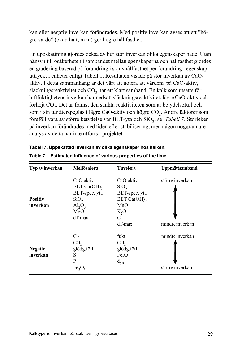kan eller negativ inverkan förändrades. Med positiv inverkan avses att ett "högre värde" (ökad halt, m m) ger högre hållfasthet.

En uppskattning gjordes också av hur stor inverkan olika egenskaper hade. Utan hänsyn till osäkerheten i sambandet mellan egenskaperna och hållfasthet gjordes en gradering baserad på förändring i skjuvhållfasthet per förändring i egenskap uttryckt i enheter enligt Tabell 1. Resultaten visade på stor inverkan av CaOaktiv. I detta sammanhang är det värt att notera att värdena på CaO-aktiv, släckningsreaktivitet och CO<sub>2</sub> har ett klart samband. En kalk som utsätts för luftfuktighetens inverkan har nedsatt släckningsreaktivitet, lägre CaO-aktiv och förhöjt CO<sub>2</sub>. Det är främst den sänkta reaktiviteten som är betydelsefull och som i sin tur återspeglas i lägre CaO-aktiv och högre CO<sub>2</sub>. Andra faktorer som föreföll vara av större betydelse var BET-yta och SiO<sub>2</sub>, se *Tabell 7*. Storleken på inverkan förändrades med tiden efter stabilisering, men någon noggrannare analys av detta har inte utförts i projektet.

| Typavinverkan  | Mellösalera                    | <b>Tuvelera</b>                | <b>Uppmättsamband</b> |
|----------------|--------------------------------|--------------------------------|-----------------------|
|                | CaO-aktiv                      | CaO-aktiv                      | större inverkan       |
|                | BET Ca(OH),                    | SiO <sub>2</sub>               |                       |
|                | BET-spec. yta                  | BET-spec. yta                  |                       |
| <b>Positiv</b> | SiO <sub>2</sub>               | BET Ca(OH),                    |                       |
| inverkan       | $\text{Al}_2\text{O}_3$        | MnO                            |                       |
|                | MgO                            | $K_2O$                         |                       |
|                | $dT$ -max                      | $Cl-$                          |                       |
|                |                                | $dT$ -max                      | mindre inverkan       |
|                | Cl-                            | fukt                           | mindre inverkan       |
|                | CO,                            | CO <sub>2</sub>                |                       |
| <b>Negativ</b> | glödg.förl.                    | glödg.förl.                    |                       |
| inverkan       | S                              | Fe <sub>2</sub> O <sub>3</sub> |                       |
|                | P                              | $d_{50}$                       |                       |
|                | Fe <sub>2</sub> O <sub>3</sub> |                                | större inverkan       |

| Tabell 7. Uppskattad inverkan av olika egenskaper hos kalken.   |
|-----------------------------------------------------------------|
| Table 7. Estimated influence of various properties of the lime. |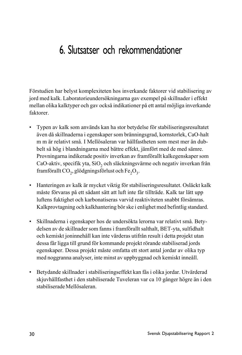### 6. Slutsatser och rekommendationer

Förstudien har belyst komplexiteten hos inverkande faktorer vid stabilisering av jord med kalk. Laboratorieundersökningarna gav exempel på skillnader i effekt mellan olika kalktyper och gav också indikationer på ett antal möjliga inverkande faktorer.

- Typen av kalk som används kan ha stor betydelse för stabiliseringsresultatet även då skillnaderna i egenskaper som bränningsgrad, kornstorlek, CaO-halt m m är relativt små. I Mellösaleran var hållfastheten som mest mer än dubbelt så hög i blandningarna med bättre effekt, jämfört med de med sämre. Provningarna indikerade positiv inverkan av framförallt kalkegenskaper som CaO-aktiv, specifik yta, SiO<sub>2</sub> och släckningsvärme och negativ inverkan från framförallt CO<sub>2</sub>, glödgningsförlust och Fe<sub>2</sub>O<sub>3</sub>.
- Hanteringen av kalk är mycket viktig för stabiliseringsresultatet. Osläckt kalk måste förvaras på ett sådant sätt att luft inte får tillträde. Kalk tar lätt upp luftens fuktighet och karbonatiseras varvid reaktiviteten snabbt försämras. Kalkprovtagning och kalkhantering bör ske i enlighet med befintlig standard.
- Skillnaderna i egenskaper hos de undersökta lerorna var relativt små. Betydelsen av de skillnader som fanns i framförallt salthalt, BET-yta, sulfidhalt och kemiskt joninnehåll kan inte värderas utifrån result i detta projekt utan dessa får ligga till grund för kommande projekt rörande stabiliserad jords egenskaper. Dessa projekt mÂste omfatta ett stort antal jordar av olika typ med noggranna analyser, inte minst av uppbyggnad och kemiskt inneÂll.
- Betydande skillnader i stabiliseringseffekt kan fås i olika jordar. Utvärderad skjuvhållfasthet i den stabiliserade Tuveleran var ca 10 gånger högre än i den stabiliserade Mellösaleran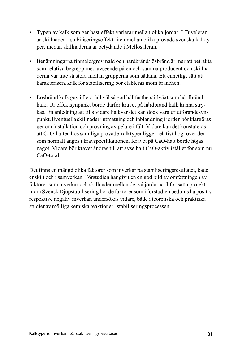- Typen av kalk som ger bäst effekt varierar mellan olika jordar. I Tuveleran är skillnaden i stabiliseringseffekt liten mellan olika provade svenska kalktyper, medan skillnaderna är betydande i Mellösaleran.
- Benämningarna finmald/grovmald och hårdbränd/lösbränd är mer att betrakta som relativa begrepp med avseende på en och samma producent och skillnaderna var inte så stora mellan grupperna som sådana. Ett enhetligt sätt att karakterisera kalk för stabilisering bör etableras inom branchen.
- Lösbränd kalk gav i flera fall väl så god hållfasthetstillväxt som hårdbränd kalk. Ur effektsynpunkt borde därför kravet på hårdbränd kalk kunna strykas. En anledning att tills vidare ha kvar det kan dock vara ur utförandesynpunkt. Eventuella skillnader i utmatning och inblandning i jorden bör klargöras genom installation och provning av pelare i fält. Vidare kan det konstateras att CaO-halten hos samtliga provade kalktyper ligger relativt högt över den som normalt anges i kravspecifikationen. Kravet på CaO-halt borde höjas något. Vidare bör kravet ändras till att avse halt CaO-aktiv istället för som nu CaO-total.

Det finns en mängd olika faktorer som inverkar på stabiliseringsresultatet, både enskilt och i samverkan. Förstudien har givit en en god bild av omfattningen av faktorer som inverkar och skillnader mellan de två jordarna. I fortsatta projekt inom Svensk Djupstabilisering bör de faktorer som i förstudien bedöms ha positiv respektive negativ inverkan undersökas vidare, både i teoretiska och praktiska studier av möjliga kemiska reaktioner i stabiliseringsprocessen.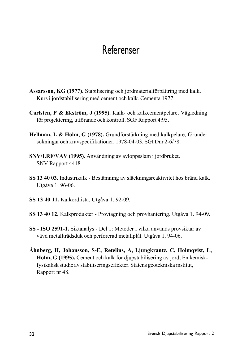### Referenser

- Assarsson, KG (1977). Stabilisering och jordmaterialförbättring med kalk. Kurs i jordstabilisering med cement och kalk. Cementa 1977.
- Carlsten, P & Ekström, J (1995). Kalk- och kalkcementpelare, Vägledning för projektering, utförande och kontroll. SGF Rapport 4:95.
- Hellman, L & Holm, G (1978). Grundförstärkning med kalkpelare, förundersökningar och kravspecifikationer. 1978-04-03, SGI Dnr 2-6/78.
- **SNV/LRF/VAV (1995).** Användning av avloppsslam i jordbruket. SNV Rapport 4418.
- **SS 13 40 03.** Industrikalk Bestämning av släckningsreaktivitet hos bränd kalk. UtgÂva 1. 96-06.
- **SS 13 40 11.** Kalkordlista. UtgÂva 1. 92-09.
- **SS 13 40 12.** Kalkprodukter Provtagning och provhantering. Utgåva 1. 94-09.
- **SS ISO 2591-1.** Siktanalys Del 1: Metoder i vilka används provsiktar av vävd metalltrådsduk och perforerad metallplåt. Utgåva 1.94-06.
- **Åhnberg, H, Johansson, S-E, Retelius, A, Ljungkrantz, C, Holmqvist, L, Holm, G (1995).** Cement och kalk för djupstabilisering av jord, En kemiskfysikalisk studie av stabiliseringseffekter. Statens geotekniska institut, Rapport nr 48.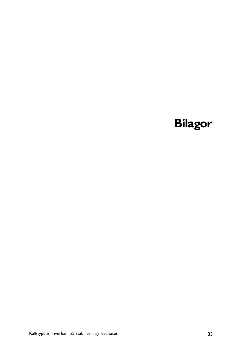# **Bilagor**

Kalktypens inverkan på stabiliseringsresultatet 33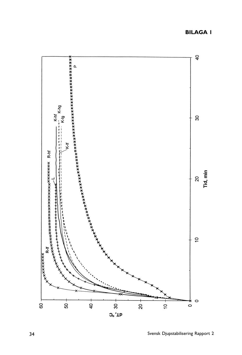$\overline{a}$ K-hf<br>...K-hg **SS** Tid, min 20  $\tilde{\mathbf{a}}$  $x$  x x x x x x x x x  $\circ$  $\frac{1}{\circ}$  $\frac{1}{20}$  $\overline{6}$  $\overline{50}$  $\dot{8}$  $\frac{1}{2}$  $\frac{1}{2}$ 

### $O<sup>o</sup>$ , Tb

#### **BILAGA 1**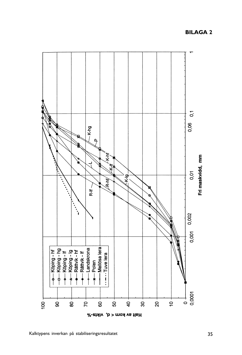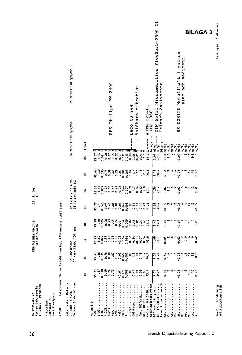| Kari Kuusipuro<br>Nordkalk Oy<br>K. Kuusi pur                     |                     |                                                            |                                        |                                     |                      |                                                             |                                                                                                                               |                                                                   |                                                  |
|-------------------------------------------------------------------|---------------------|------------------------------------------------------------|----------------------------------------|-------------------------------------|----------------------|-------------------------------------------------------------|-------------------------------------------------------------------------------------------------------------------------------|-------------------------------------------------------------------|--------------------------------------------------|
| 47628                                                             |                     | Kalkprover för markstabilisering, RFS-kem.anal.,BET,Laser. |                                        |                                     |                      |                                                             |                                                                                                                               |                                                                   |                                                  |
| Materiaali - Material<br>01 Boda 16.4.96<br>툔<br>06 Mark.Stab.,60 |                     |                                                            | O2 Landskrona<br>O7 Mark.Stab.,100 rpm |                                     |                      | O3 Rättvik 16.4.96<br>O8 Polskt kalk SGI<br>Polskt kalk SGI |                                                                                                                               | 04 Yxhult, 110 rpm, 98%                                           | 05 Yxhult, 140 rpm, 88%                          |
|                                                                   | 5                   | ន                                                          | ຮ                                      | వ                                   | S                    | g                                                           | 5                                                                                                                             | Enhet<br>8                                                        |                                                  |
| $\mathfrak{c}_{\mathbf{a}0}$<br>HET00:5.0                         | 95.31               | 93.41<br>1.38                                              |                                        |                                     |                      |                                                             |                                                                                                                               | মিম                                                               |                                                  |
|                                                                   | 0.018               | 0.035                                                      |                                        | ಜ್ಞ ಕಾಶ್ವರ<br>ಜೆ.ಕಾಶ್ವರ<br>ಜೆ.ಕಾಶ್ಮ |                      | 요 <u>ㅋ</u><br>요금음은                                          | 83858<br>81369                                                                                                                | <b>្លុ</b> ង<br>ភូមិ<br>ភូមិ                                      |                                                  |
| 1102.<br>(1203                                                    |                     |                                                            |                                        |                                     |                      |                                                             |                                                                                                                               |                                                                   |                                                  |
| e203                                                              | $388$<br>$-25$      | 0.76                                                       |                                        |                                     |                      |                                                             |                                                                                                                               | Philips<br><b>RFS</b><br>0.57<br>0.57                             | 2400<br>RW                                       |
| <b>MgO</b>                                                        | 0.13                |                                                            |                                        | $1.85$<br>$-0.51$                   |                      | es<br>Sus                                                   |                                                                                                                               |                                                                   |                                                  |
| Wa20                                                              |                     |                                                            | $\frac{5}{9}$                          |                                     |                      |                                                             |                                                                                                                               |                                                                   |                                                  |
| <br><b>MnO</b>                                                    |                     |                                                            | 0.164                                  | 38835<br>38835                      |                      | 0.007<br>0.007                                              | $\frac{3}{2}$ $\frac{3}{2}$ $\frac{3}{2}$ $\frac{3}{2}$ $\frac{3}{2}$ $\frac{3}{2}$ $\frac{3}{2}$ $\frac{3}{2}$ $\frac{3}{2}$ |                                                                   |                                                  |
| S-Leco                                                            |                     |                                                            |                                        |                                     |                      |                                                             |                                                                                                                               | Leco CS                                                           | 244                                              |
| $CO2 - Leco \ldots \ldots$                                        |                     |                                                            | ្លួង<br>ទី១៩                           |                                     |                      | $-322.5$                                                    |                                                                                                                               | $\mathbf{I}$                                                      | Valdhart titration                               |
| fukt 105°C/IR                                                     | 8.8<br>0.6          |                                                            |                                        |                                     |                      |                                                             |                                                                                                                               |                                                                   |                                                  |
| GL. f 1000 °C                                                     |                     | $0.14$<br>90.9                                             | 0.24<br>0.24<br>93.8                   | 2.21<br>0.35<br>9.10                | e 19<br>2019<br>2019 |                                                             |                                                                                                                               | $\begin{array}{c} 5.0 \\ 0.8 \end{array}$                         |                                                  |
| CoO-akt SFS 5188<br>Släcningsreaktivitet                          | 93.4                |                                                            |                                        |                                     |                      |                                                             |                                                                                                                               | ${}^{0.25-81}_{1060}$<br><b>ASTM</b><br>DIN<br>I<br>$\frac{1}{1}$ |                                                  |
| BET-specifik yta                                                  |                     |                                                            |                                        |                                     |                      |                                                             |                                                                                                                               | ł<br>bilaga                                                       |                                                  |
| 3ET fr.Ca(OH)2                                                    | $\frac{1.55}{34.7}$ | $\frac{1.36}{51.6}$                                        | $\frac{1}{25}$                         | $\frac{1}{3}$<br>33.1               | $\frac{1.68}{33.4}$  | $\frac{136}{27.7}$                                          | $\frac{1.46}{28.4}$                                                                                                           | 66131<br>DIN<br>ł<br>$m^2/g$ ---<br>្ត្រ<br>ខេត្ត                 | $\overline{1}$<br>FlowSorb-2300<br>Micromeritics |
| Laser-kornstorleksfö                                              | $\frac{10}{10}$     | $\frac{1}{2}$                                              | $rac{16}{9}$                           | $\frac{1}{20}$ .05                  | $\frac{1}{20.05}$    |                                                             | 0.08                                                                                                                          | ŧ<br>bilaga<br>$\overline{5}$                                     | Fritsch Analysette                               |
|                                                                   | N                   | 1.4                                                        |                                        |                                     |                      | $rac{2}{10}$                                                |                                                                                                                               | mg/kg<br>mg/kg<br>$\frac{4}{1}$                                   |                                                  |
|                                                                   | ∾                   |                                                            |                                        |                                     |                      |                                                             |                                                                                                                               | ng/kg<br>o.                                                       |                                                  |
|                                                                   | N                   |                                                            |                                        |                                     |                      |                                                             | $\frac{4}{1}$                                                                                                                 | mg/kg                                                             |                                                  |
| <b>Mg</b><br>William - 1991<br>William - 1991<br>William - 1992   | 50.02<br>n          | $-0.02$                                                    | s.o                                    | 0.02                                | $-0.02$              | 0.02                                                        | 50.02                                                                                                                         | 028150<br>SS<br>mg/kg<br>mg/kg<br>$-0.02$<br>S                    | Metallhalt i vatten<br>sediment.<br>och<br>slam  |
| <br>2                                                             | ∾                   | nne                                                        | $\ddot{\circ}$                         |                                     |                      |                                                             |                                                                                                                               | mg/kg<br>S                                                        |                                                  |
|                                                                   | $\frac{1}{2}$       |                                                            |                                        |                                     | <u>بہ</u>            | ÷ء                                                          |                                                                                                                               | mg/kg<br>Ħ                                                        |                                                  |
| $\mathbf{m} \dots$                                                | °,<br>0.27          | 53<br>$\ddot{0}$                                           | 0.42                                   | 0.20                                | $-0.05$              | $\approx$<br>0.34                                           | 0.27<br>Ξ                                                                                                                     | mg/kg<br>mg/kg<br>148                                             |                                                  |
|                                                                   |                     |                                                            |                                        |                                     |                      |                                                             |                                                                                                                               |                                                                   |                                                  |
|                                                                   |                     |                                                            |                                        |                                     |                      |                                                             |                                                                                                                               |                                                                   | <b>BILAGA 3</b>                                  |
|                                                                   |                     |                                                            |                                        |                                     |                      |                                                             |                                                                                                                               |                                                                   |                                                  |

Jakelu - Fördelning<br>HPi,K.Kuusipuro,lab

Hyväksyjä - Godkännare

OY NORDKALK AB<br>Kemian laboratorio<br>SF 21600 Parainen

21.11.1996

**KEMIALLINEN ANALYYSI**<br>KEMISK ANALYS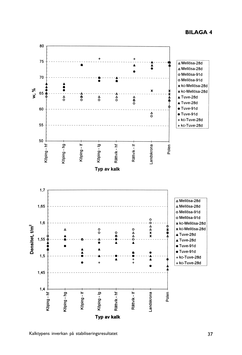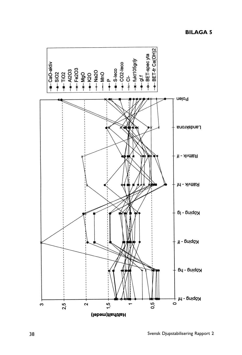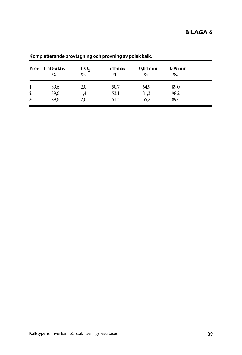| <b>Prov</b>  | CaO-aktiv<br>$\frac{6}{9}$ | CO,<br>$\%$ | dT-max<br>°C | $0.04 \,\mathrm{mm}$<br>$\frac{0}{0}$ | $0,09 \,\mathrm{mm}$<br>$\frac{0}{0}$ |  |
|--------------|----------------------------|-------------|--------------|---------------------------------------|---------------------------------------|--|
| 1            | 89,6                       | 2,0         | 50,7         | 64,9                                  | 89,0                                  |  |
| $\mathbf{2}$ | 89,6                       | 1,4         | 53,1         | 81,3                                  | 98,2                                  |  |
| 3            | 89,6                       | 2,0         | 51.5         | 65,2                                  | 89,4                                  |  |

**Kompletterande provtagning och provning av polsk kalk.**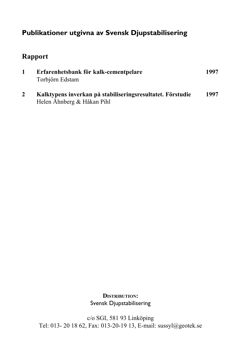### **Publikationer utgivna av Svensk Djupstabilisering**

### **Rapport**

| Erfarenhetsbank för kalk-cementpelare<br>Torbjörn Edstam                                 | 1997 |
|------------------------------------------------------------------------------------------|------|
| Kalktypens inverkan på stabiliseringsresultatet. Förstudie<br>Helen Åhnberg & Håkan Pihl | 1997 |

**DISTRIBUTION:** Svensk Djupstabilisering

c/o SGI, 581 93 Linköping Tel: 013- 20 18 62, Fax: 013-20-19 13, E-mail: sussyl@geotek.se